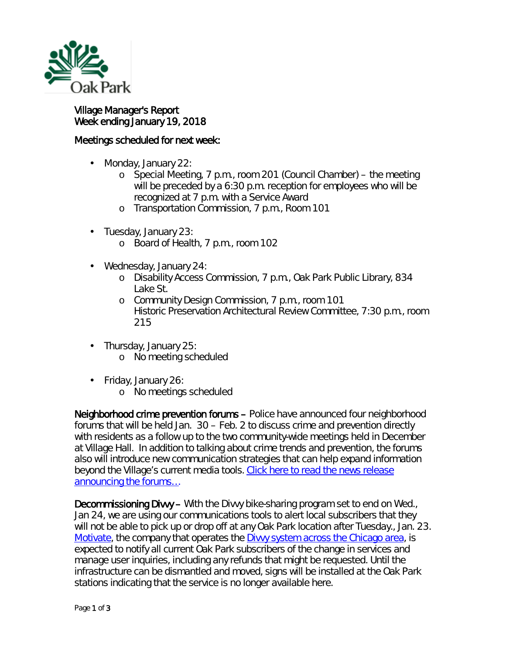

l,

## Village Manager's Report Week ending January 19, 2018

## Meetings scheduled for next week:

- Monday, January 22:
	- o Special Meeting, 7 p.m., room 201 (Council Chamber) the meeting will be preceded by a 6:30 p.m. reception for employees who will be recognized at 7 p.m. with a Service Award
	- o Transportation Commission, 7 p.m., Room 101
- Tuesday, January 23:  $\blacksquare$ 
	- o Board of Health, 7 p.m., room 102
- $\mathbf{r}$ Wednesday, January 24:
	- o Disability Access Commission, 7 p.m., Oak Park Public Library, 834 Lake St.
	- o Community Design Commission, 7 p.m., room 101 Historic Preservation Architectural Review Committee, 7:30 p.m., room 215
- Thursday, January 25:
	- o No meeting scheduled
- $\mathbf{r}^{(1)}$ Friday, January 26:
	- o No meetings scheduled

Neighborhood crime prevention forums – Police have announced four neighborhood forums that will be held Jan. 30 – Feb. 2 to discuss crime and prevention directly with residents as a follow up to the two community-wide meetings held in December at Village Hall. In addition to talking about crime trends and prevention, the forums also will introduce new communication strategies that can help expand information beyond the Village's current media tools. Click here to [read the news release](http://www.oak-park.us/news/oak-park-police-schedule-neighborhood-forums)  [announcing the forums…](http://www.oak-park.us/news/oak-park-police-schedule-neighborhood-forums)

Decommissioning Divvy – With the Divvy bike-sharing program set to end on Wed., Jan 24, we are using our communications tools to alert local subscribers that they will not be able to pick up or drop off at any Oak Park location after Tuesday., Jan. 23. [Motivate,](http://r20.rs6.net/tn.jsp?f=001a_YynnwxyjD2YDOaAthGzKqXySvMNt1IC_u3d9tzWadLuiqMr74ZJdvoKAVeKZjjC06Jv9Fj37Pppb-EkvT5cVUeiy0W0cwzigxGaPdLlbyAHqQ0s23AVRDqAKMBZoMH5S7xQDIilUtnCUzi_GUAg1fGNCLaBgTaqwfhBkOEwl5JVWm8ZQo39kOStLF6ikghB_RQJCjd8ucT5jafKdlww5WOsTx0uqT-w9lQ2La2ncWbZfaqWtCANHQ-LadXLa5Zdu96hUQUVugVyTq-Ja6jcmVp1a-JURPZ&c=7MzRd9fcoYNYiYfYOqoPao2rc1S0dYji64FFAjS7v-Co2i3q9Wf4jw==&ch=RjCZCBgUFtHygqbJfY_CktYnbn_oVOERKQhjEq8nqk3EVSrg4taILg==) the company that operates the [Divvy system across the Chicago area,](http://r20.rs6.net/tn.jsp?f=001a_YynnwxyjD2YDOaAthGzKqXySvMNt1IC_u3d9tzWadLuiqMr74ZJdvoKAVeKZjjZo8eIjUa9cOe3nnobZJz5rIZcbphjGDF2Min0UWrw7ZAX2ed39GgPjBG-LM-nBrNKrG2mOx1QX_iOZm1qfIKeFz0PaxlRDFMxlgaIq_jbqKhsxhUsMV1i7tFST4HNpxLYd_OVA8HPIaMSlw8S0jB9W5Dy15JjQaUi0fWGndJtf_3RwF1Or00gq6ZWG0ypLTcSFBnxJSnQHh-NDShvXyyuxaUGnekw2ui_S-Db5EzpTsTakzefvZ5Tw==&c=7MzRd9fcoYNYiYfYOqoPao2rc1S0dYji64FFAjS7v-Co2i3q9Wf4jw==&ch=RjCZCBgUFtHygqbJfY_CktYnbn_oVOERKQhjEq8nqk3EVSrg4taILg==) is expected to notify all current Oak Park subscribers of the change in services and manage user inquiries, including any refunds that might be requested. Until the infrastructure can be dismantled and moved, signs will be installed at the Oak Park stations indicating that the service is no longer available here.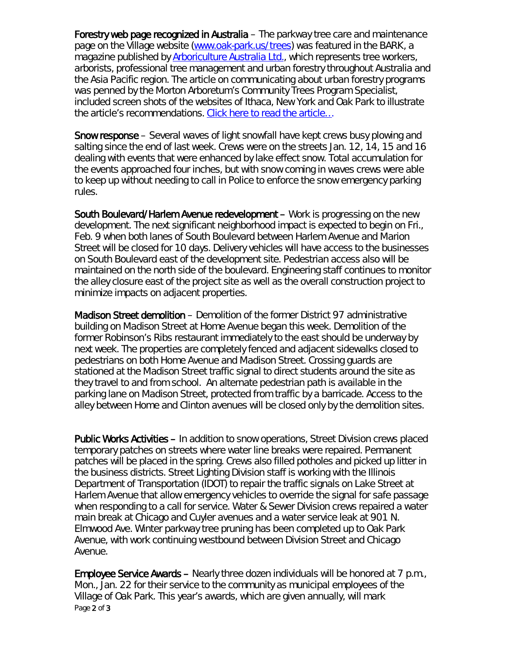Forestry web page recognized in Australia – The parkway tree care and maintenance page on the Village website [\(www.oak-park.us/trees\)](http://www.oak-park.us/trees) was featured in *the BARK*, a magazine published by **Arboriculture Australia Ltd.**, which represents tree workers, arborists, professional tree management and urban forestry throughout Australia and the Asia Pacific region. The article on communicating about urban forestry programs was penned by the Morton Arboretum's Community Trees Program Specialist, included screen shots of the websites of Ithaca, New York and Oak Park to illustrate the article's recommendations. [Click here to read the article…](http://www.oak-park.us/sites/default/files/456678891/2017-summer-bark-australia-arboriculture.pdf)

Snow response – Several waves of light snowfall have kept crews busy plowing and salting since the end of last week. Crews were on the streets Jan. 12, 14, 15 and 16 dealing with events that were enhanced by lake effect snow. Total accumulation for the events approached four inches, but with snow coming in waves crews were able to keep up without needing to call in Police to enforce the snow emergency parking rules.

South Boulevard/Harlem Avenue redevelopment – Work is progressing on the new development. The next significant neighborhood impact is expected to begin on Fri., Feb. 9 when both lanes of South Boulevard between Harlem Avenue and Marion Street will be closed for 10 days. Delivery vehicles will have access to the businesses on South Boulevard east of the development site. Pedestrian access also will be maintained on the north side of the boulevard. Engineering staff continues to monitor the alley closure east of the project site as well as the overall construction project to minimize impacts on adjacent properties.

Madison Street demolition – Demolition of the former District 97 administrative building on Madison Street at Home Avenue began this week. Demolition of the former Robinson's Ribs restaurant immediately to the east should be underway by next week. The properties are completely fenced and adjacent sidewalks closed to pedestrians on both Home Avenue and Madison Street. Crossing guards are stationed at the Madison Street traffic signal to direct students around the site as they travel to and from school. An alternate pedestrian path is available in the parking lane on Madison Street, protected from traffic by a barricade. Access to the alley between Home and Clinton avenues will be closed only by the demolition sites.

Public Works Activities – In addition to snow operations, Street Division crews placed temporary patches on streets where water line breaks were repaired. Permanent patches will be placed in the spring. Crews also filled potholes and picked up litter in the business districts. Street Lighting Division staff is working with the Illinois Department of Transportation (IDOT) to repair the traffic signals on Lake Street at Harlem Avenue that allow emergency vehicles to override the signal for safe passage when responding to a call for service. Water & Sewer Division crews repaired a water main break at Chicago and Cuyler avenues and a water service leak at 901 N. Elmwood Ave. Winter parkway tree pruning has been completed up to Oak Park Avenue, with work continuing westbound between Division Street and Chicago Avenue.

Page 2 of 3 Employee Service Awards – Nearly three dozen individuals will be honored at 7 p.m., Mon., Jan. 22 for their service to the community as municipal employees of the Village of Oak Park. This year's awards, which are given annually, will mark